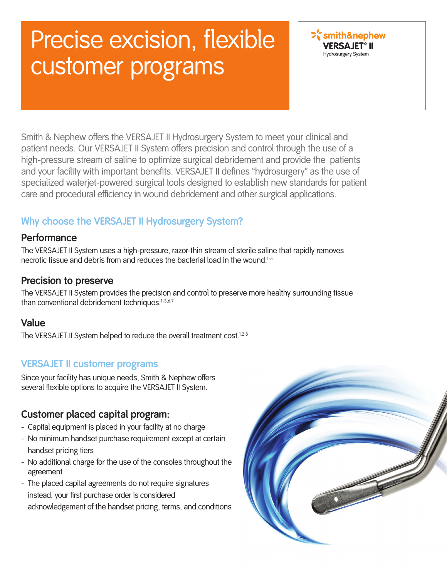# Precise excision, flexible customer programs



 Smith & Nephew offers the VERSAJET II Hydrosurgery System to meet your clinical and patient needs. Our VERSAJET II System offers precision and control through the use of a high-pressure stream of saline to optimize surgical debridement and provide the patients and your facility with important benefits. VERSAJET II defines "hydrosurgery" as the use of specialized waterjet-powered surgical tools designed to establish new standards for patient care and procedural efficiency in wound debridement and other surgical applications.

### **Why choose the VERSAJET II Hydrosurgery System?**

### **Performance**

 The VERSAJET II System uses a high-pressure, razor-thin stream of sterile saline that rapidly removes necrotic tissue and debris from and reduces the bacterial load in the wound.1-5

### **Precision to preserve**

 The VERSAJET II System provides the precision and control to preserve more healthy surrounding tissue than conventional debridement techniques.<sup>1-3,6,7</sup>

### **Value**

The VERSAJET II System helped to reduce the overall treatment cost.<sup>1,2,8</sup>

### **VERSAJET II customer programs**

Since your facility has unique needs, Smith & Nephew offers several flexible options to acquire the VERSAJET II System.

### **Customer placed capital program:**

- Capital equipment is placed in your facility at no charge
- No minimum handset purchase requirement except at certain handset pricing tiers
- No additional charge for the use of the consoles throughout the agreement
- The placed capital agreements do not require signatures instead, your first purchase order is considered acknowledgement of the handset pricing, terms, and conditions